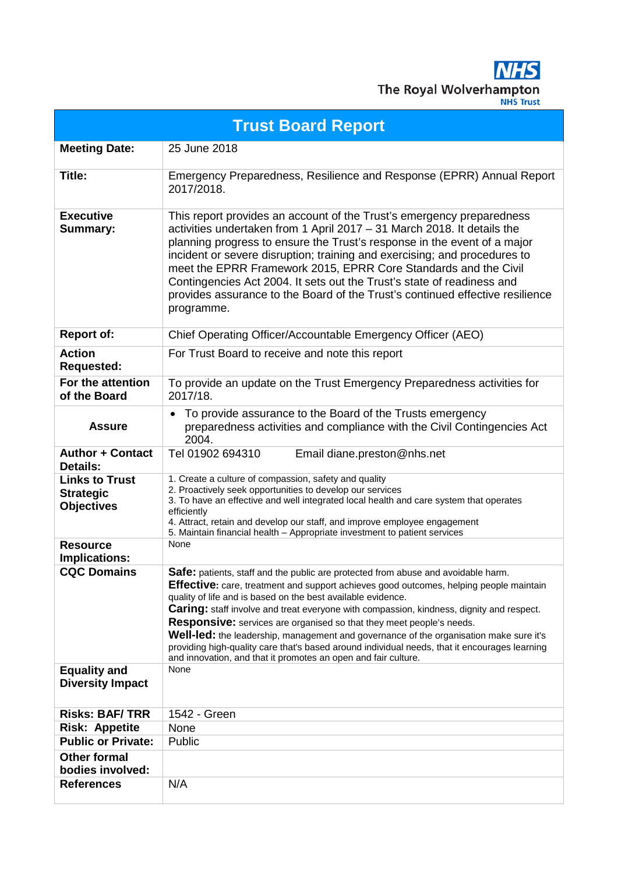

| <b>Trust Board Report</b>                                      |                                                                                                                                                                                                                                                                                                                                                                                                                                                                                                                                                                                                                                                                                            |  |  |
|----------------------------------------------------------------|--------------------------------------------------------------------------------------------------------------------------------------------------------------------------------------------------------------------------------------------------------------------------------------------------------------------------------------------------------------------------------------------------------------------------------------------------------------------------------------------------------------------------------------------------------------------------------------------------------------------------------------------------------------------------------------------|--|--|
| <b>Meeting Date:</b>                                           | 25 June 2018                                                                                                                                                                                                                                                                                                                                                                                                                                                                                                                                                                                                                                                                               |  |  |
| Title:                                                         | Emergency Preparedness, Resilience and Response (EPRR) Annual Report<br>2017/2018.                                                                                                                                                                                                                                                                                                                                                                                                                                                                                                                                                                                                         |  |  |
| <b>Executive</b><br><b>Summary:</b>                            | This report provides an account of the Trust's emergency preparedness<br>activities undertaken from 1 April 2017 - 31 March 2018. It details the<br>planning progress to ensure the Trust's response in the event of a major<br>incident or severe disruption; training and exercising; and procedures to<br>meet the EPRR Framework 2015, EPRR Core Standards and the Civil<br>Contingencies Act 2004. It sets out the Trust's state of readiness and<br>provides assurance to the Board of the Trust's continued effective resilience<br>programme.                                                                                                                                      |  |  |
| <b>Report of:</b>                                              | Chief Operating Officer/Accountable Emergency Officer (AEO)                                                                                                                                                                                                                                                                                                                                                                                                                                                                                                                                                                                                                                |  |  |
| <b>Action</b><br><b>Requested:</b>                             | For Trust Board to receive and note this report                                                                                                                                                                                                                                                                                                                                                                                                                                                                                                                                                                                                                                            |  |  |
| For the attention<br>of the Board                              | To provide an update on the Trust Emergency Preparedness activities for<br>2017/18.                                                                                                                                                                                                                                                                                                                                                                                                                                                                                                                                                                                                        |  |  |
| <b>Assure</b>                                                  | To provide assurance to the Board of the Trusts emergency<br>$\bullet$<br>preparedness activities and compliance with the Civil Contingencies Act<br>2004.                                                                                                                                                                                                                                                                                                                                                                                                                                                                                                                                 |  |  |
| <b>Author + Contact</b><br><b>Details:</b>                     | Tel 01902 694310<br>Email diane.preston@nhs.net                                                                                                                                                                                                                                                                                                                                                                                                                                                                                                                                                                                                                                            |  |  |
| <b>Links to Trust</b><br><b>Strategic</b><br><b>Objectives</b> | 1. Create a culture of compassion, safety and quality<br>2. Proactively seek opportunities to develop our services<br>3. To have an effective and well integrated local health and care system that operates<br>efficiently<br>4. Attract, retain and develop our staff, and improve employee engagement<br>5. Maintain financial health - Appropriate investment to patient services                                                                                                                                                                                                                                                                                                      |  |  |
| <b>Resource</b><br><b>Implications:</b>                        | None                                                                                                                                                                                                                                                                                                                                                                                                                                                                                                                                                                                                                                                                                       |  |  |
| <b>CQC Domains</b>                                             | Safe: patients, staff and the public are protected from abuse and avoidable harm.<br>Effective: care, treatment and support achieves good outcomes, helping people maintain<br>quality of life and is based on the best available evidence.<br><b>Caring:</b> staff involve and treat everyone with compassion, kindness, dignity and respect.<br>Responsive: services are organised so that they meet people's needs.<br><b>Well-led:</b> the leadership, management and governance of the organisation make sure it's<br>providing high-quality care that's based around individual needs, that it encourages learning<br>and innovation, and that it promotes an open and fair culture. |  |  |
| <b>Equality and</b><br><b>Diversity Impact</b>                 | None                                                                                                                                                                                                                                                                                                                                                                                                                                                                                                                                                                                                                                                                                       |  |  |
| <b>Risks: BAF/TRR</b>                                          | 1542 - Green                                                                                                                                                                                                                                                                                                                                                                                                                                                                                                                                                                                                                                                                               |  |  |
| <b>Risk: Appetite</b>                                          | None                                                                                                                                                                                                                                                                                                                                                                                                                                                                                                                                                                                                                                                                                       |  |  |
| <b>Public or Private:</b>                                      | Public                                                                                                                                                                                                                                                                                                                                                                                                                                                                                                                                                                                                                                                                                     |  |  |
| <b>Other formal</b><br>bodies involved:                        |                                                                                                                                                                                                                                                                                                                                                                                                                                                                                                                                                                                                                                                                                            |  |  |
| <b>References</b>                                              | N/A                                                                                                                                                                                                                                                                                                                                                                                                                                                                                                                                                                                                                                                                                        |  |  |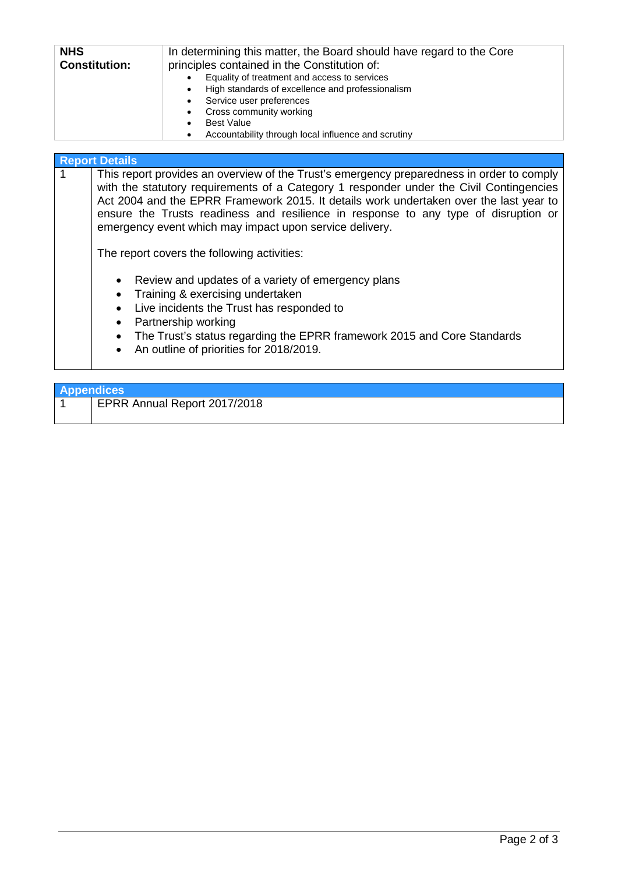| <b>NHS</b><br><b>Constitution:</b> | In determining this matter, the Board should have regard to the Core<br>principles contained in the Constitution of: |  |  |
|------------------------------------|----------------------------------------------------------------------------------------------------------------------|--|--|
|                                    | Equality of treatment and access to services                                                                         |  |  |
|                                    | High standards of excellence and professionalism<br>$\bullet$                                                        |  |  |
|                                    | Service user preferences<br>$\bullet$                                                                                |  |  |
|                                    | Cross community working<br>$\bullet$                                                                                 |  |  |
|                                    | <b>Best Value</b>                                                                                                    |  |  |
|                                    | Accountability through local influence and scrutiny                                                                  |  |  |

### **Report Details**

| $\overline{1}$ | This report provides an overview of the Trust's emergency preparedness in order to comply<br>with the statutory requirements of a Category 1 responder under the Civil Contingencies<br>Act 2004 and the EPRR Framework 2015. It details work undertaken over the last year to<br>ensure the Trusts readiness and resilience in response to any type of disruption or<br>emergency event which may impact upon service delivery.<br>The report covers the following activities: |
|----------------|---------------------------------------------------------------------------------------------------------------------------------------------------------------------------------------------------------------------------------------------------------------------------------------------------------------------------------------------------------------------------------------------------------------------------------------------------------------------------------|
|                | • Review and updates of a variety of emergency plans<br>• Training & exercising undertaken<br>• Live incidents the Trust has responded to<br>• Dortnorchin working                                                                                                                                                                                                                                                                                                              |

- Partnership working
- The Trust's status regarding the EPRR framework 2015 and Core Standards
- An outline of priorities for 2018/2019.

| <b>Appendices</b> |                              |  |
|-------------------|------------------------------|--|
|                   | EPRR Annual Report 2017/2018 |  |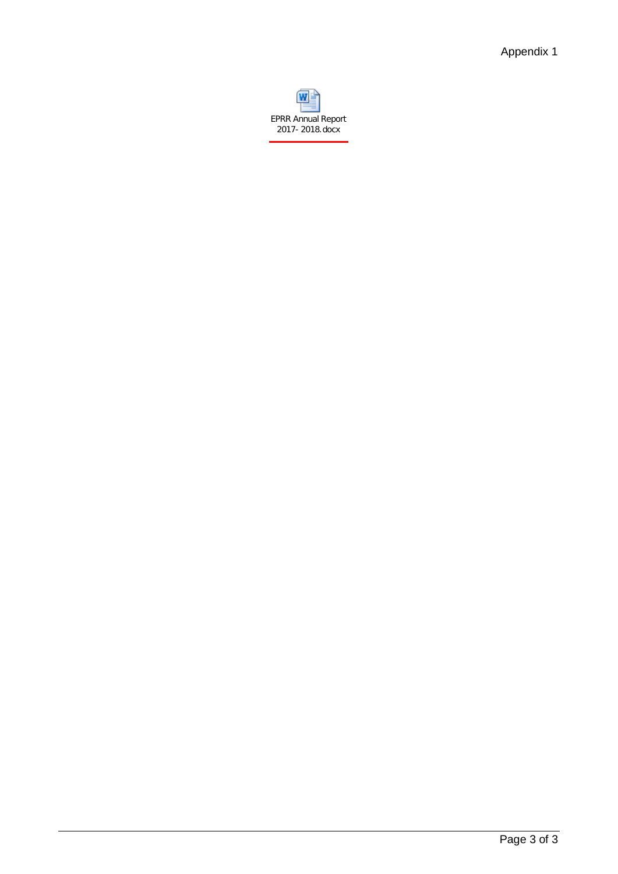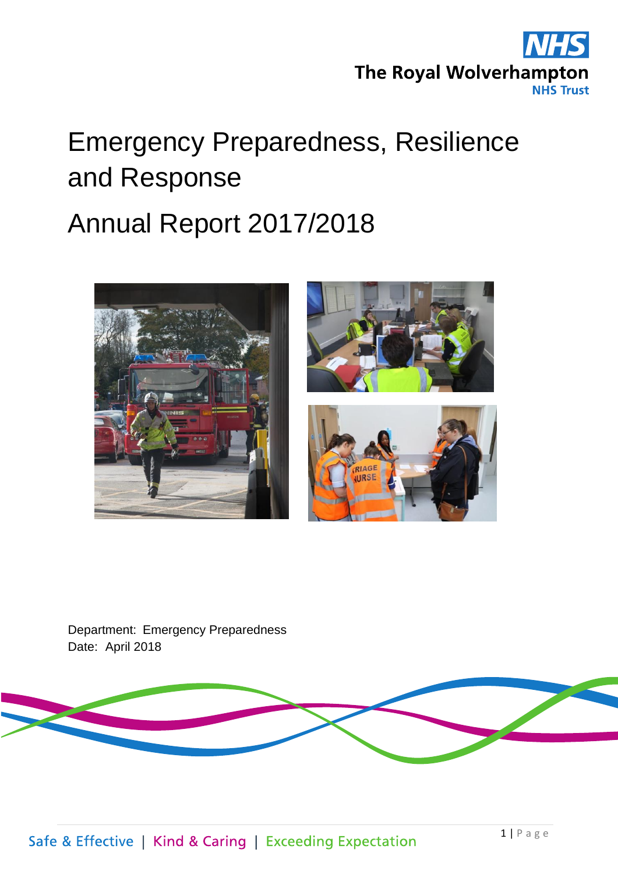

# Emergency Preparedness, Resilience and Response

# Annual Report 2017/2018







Department: Emergency Preparedness Date: April 2018

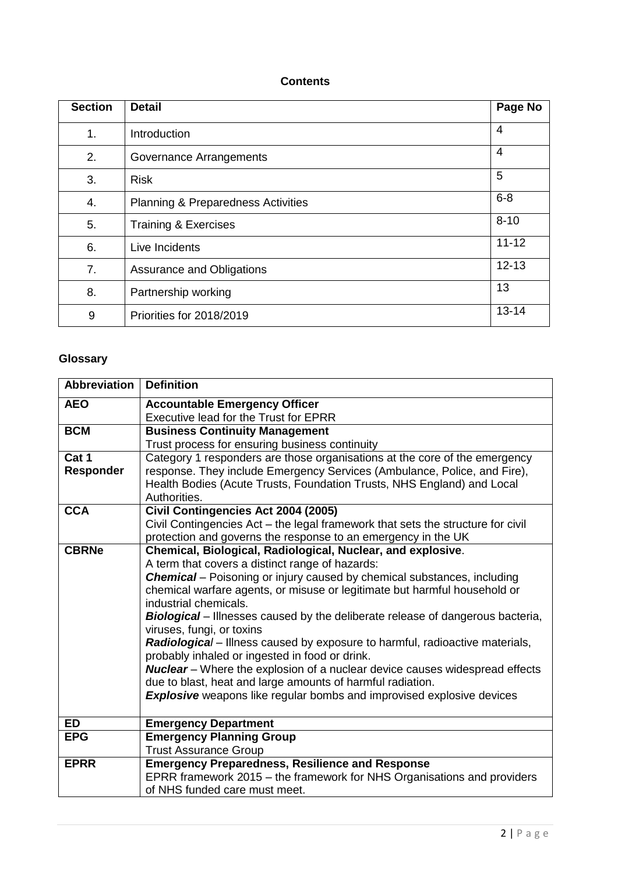### **Contents**

| <b>Section</b> | <b>Detail</b>                                 | Page No   |
|----------------|-----------------------------------------------|-----------|
| 1.             | Introduction                                  | 4         |
| 2.             | Governance Arrangements                       | 4         |
| 3.             | <b>Risk</b>                                   | 5         |
| 4.             | <b>Planning &amp; Preparedness Activities</b> | $6 - 8$   |
| 5.             | <b>Training &amp; Exercises</b>               | $8 - 10$  |
| 6.             | Live Incidents                                | $11 - 12$ |
| 7.             | Assurance and Obligations                     | $12 - 13$ |
| 8.             | Partnership working                           | 13        |
| 9              | Priorities for 2018/2019                      | $13 - 14$ |

# **Glossary**

| <b>Abbreviation</b> | <b>Definition</b>                                                                     |  |  |  |
|---------------------|---------------------------------------------------------------------------------------|--|--|--|
| <b>AEO</b>          | <b>Accountable Emergency Officer</b>                                                  |  |  |  |
|                     | Executive lead for the Trust for EPRR                                                 |  |  |  |
| <b>BCM</b>          | <b>Business Continuity Management</b>                                                 |  |  |  |
|                     | Trust process for ensuring business continuity                                        |  |  |  |
| Cat 1               | Category 1 responders are those organisations at the core of the emergency            |  |  |  |
| <b>Responder</b>    | response. They include Emergency Services (Ambulance, Police, and Fire),              |  |  |  |
|                     | Health Bodies (Acute Trusts, Foundation Trusts, NHS England) and Local                |  |  |  |
|                     | Authorities.                                                                          |  |  |  |
| <b>CCA</b>          | Civil Contingencies Act 2004 (2005)                                                   |  |  |  |
|                     | Civil Contingencies Act - the legal framework that sets the structure for civil       |  |  |  |
|                     | protection and governs the response to an emergency in the UK                         |  |  |  |
| <b>CBRNe</b>        | Chemical, Biological, Radiological, Nuclear, and explosive.                           |  |  |  |
|                     | A term that covers a distinct range of hazards:                                       |  |  |  |
|                     | <b>Chemical</b> – Poisoning or injury caused by chemical substances, including        |  |  |  |
|                     | chemical warfare agents, or misuse or legitimate but harmful household or             |  |  |  |
|                     | industrial chemicals.                                                                 |  |  |  |
|                     | <b>Biological</b> – Illnesses caused by the deliberate release of dangerous bacteria, |  |  |  |
|                     | viruses, fungi, or toxins                                                             |  |  |  |
|                     | Radiological - Illness caused by exposure to harmful, radioactive materials,          |  |  |  |
|                     | probably inhaled or ingested in food or drink.                                        |  |  |  |
|                     | <b>Nuclear</b> - Where the explosion of a nuclear device causes widespread effects    |  |  |  |
|                     | due to blast, heat and large amounts of harmful radiation.                            |  |  |  |
|                     | <b>Explosive</b> weapons like regular bombs and improvised explosive devices          |  |  |  |
|                     |                                                                                       |  |  |  |
| <b>ED</b>           | <b>Emergency Department</b>                                                           |  |  |  |
| <b>EPG</b>          | <b>Emergency Planning Group</b>                                                       |  |  |  |
|                     | <b>Trust Assurance Group</b>                                                          |  |  |  |
| <b>EPRR</b>         | <b>Emergency Preparedness, Resilience and Response</b>                                |  |  |  |
|                     | EPRR framework 2015 – the framework for NHS Organisations and providers               |  |  |  |
|                     | of NHS funded care must meet.                                                         |  |  |  |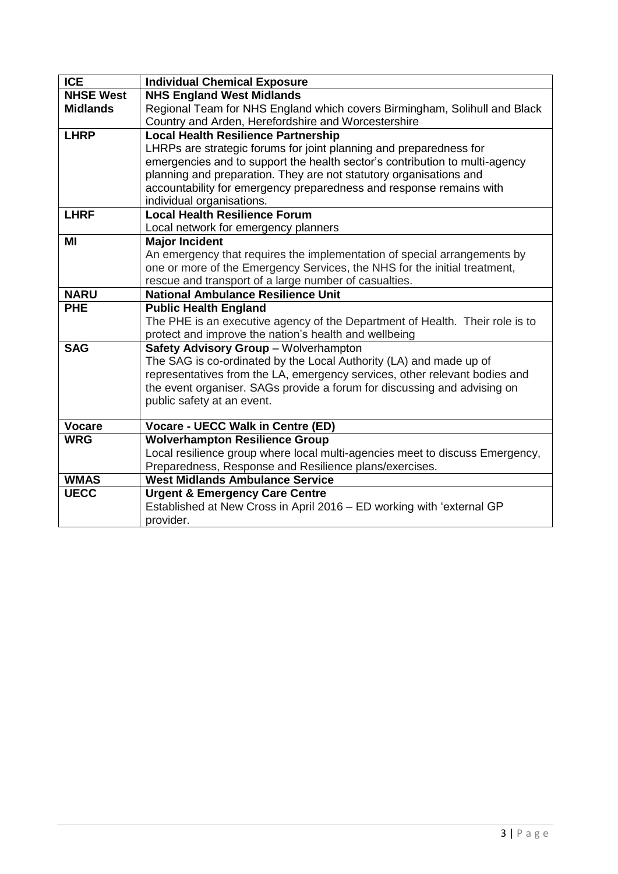| <b>ICE</b>       | <b>Individual Chemical Exposure</b>                                          |  |
|------------------|------------------------------------------------------------------------------|--|
| <b>NHSE West</b> | <b>NHS England West Midlands</b>                                             |  |
| <b>Midlands</b>  | Regional Team for NHS England which covers Birmingham, Solihull and Black    |  |
|                  | Country and Arden, Herefordshire and Worcestershire                          |  |
| <b>LHRP</b>      | <b>Local Health Resilience Partnership</b>                                   |  |
|                  | LHRPs are strategic forums for joint planning and preparedness for           |  |
|                  | emergencies and to support the health sector's contribution to multi-agency  |  |
|                  | planning and preparation. They are not statutory organisations and           |  |
|                  | accountability for emergency preparedness and response remains with          |  |
|                  | individual organisations.                                                    |  |
| <b>LHRF</b>      | <b>Local Health Resilience Forum</b>                                         |  |
|                  | Local network for emergency planners                                         |  |
| ΜI               | <b>Major Incident</b>                                                        |  |
|                  | An emergency that requires the implementation of special arrangements by     |  |
|                  | one or more of the Emergency Services, the NHS for the initial treatment,    |  |
|                  | rescue and transport of a large number of casualties.                        |  |
| <b>NARU</b>      | <b>National Ambulance Resilience Unit</b>                                    |  |
| <b>PHE</b>       | <b>Public Health England</b>                                                 |  |
|                  | The PHE is an executive agency of the Department of Health. Their role is to |  |
|                  | protect and improve the nation's health and wellbeing                        |  |
| <b>SAG</b>       | Safety Advisory Group - Wolverhampton                                        |  |
|                  | The SAG is co-ordinated by the Local Authority (LA) and made up of           |  |
|                  | representatives from the LA, emergency services, other relevant bodies and   |  |
|                  | the event organiser. SAGs provide a forum for discussing and advising on     |  |
|                  | public safety at an event.                                                   |  |
| <b>Vocare</b>    | Vocare - UECC Walk in Centre (ED)                                            |  |
| <b>WRG</b>       | <b>Wolverhampton Resilience Group</b>                                        |  |
|                  | Local resilience group where local multi-agencies meet to discuss Emergency, |  |
|                  | Preparedness, Response and Resilience plans/exercises.                       |  |
| <b>WMAS</b>      | <b>West Midlands Ambulance Service</b>                                       |  |
| <b>UECC</b>      | <b>Urgent &amp; Emergency Care Centre</b>                                    |  |
|                  | Established at New Cross in April 2016 - ED working with 'external GP        |  |
|                  | provider.                                                                    |  |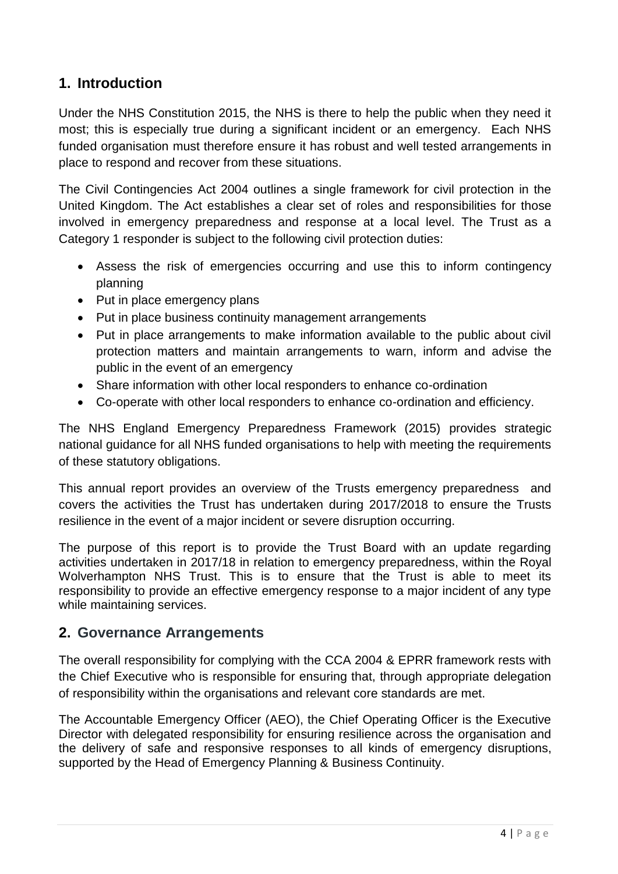# **1. Introduction**

Under the NHS Constitution 2015, the NHS is there to help the public when they need it most; this is especially true during a significant incident or an emergency. Each NHS funded organisation must therefore ensure it has robust and well tested arrangements in place to respond and recover from these situations.

The Civil Contingencies Act 2004 outlines a single framework for civil protection in the United Kingdom. The Act establishes a clear set of roles and responsibilities for those involved in emergency preparedness and response at a local level. The Trust as a Category 1 responder is subject to the following civil protection duties:

- Assess the risk of emergencies occurring and use this to inform contingency planning
- Put in place emergency plans
- Put in place business continuity management arrangements
- Put in place arrangements to make information available to the public about civil protection matters and maintain arrangements to warn, inform and advise the public in the event of an emergency
- Share information with other local responders to enhance co-ordination
- Co-operate with other local responders to enhance co-ordination and efficiency.

The NHS England Emergency Preparedness Framework (2015) provides strategic national guidance for all NHS funded organisations to help with meeting the requirements of these statutory obligations.

This annual report provides an overview of the Trusts emergency preparedness and covers the activities the Trust has undertaken during 2017/2018 to ensure the Trusts resilience in the event of a major incident or severe disruption occurring.

The purpose of this report is to provide the Trust Board with an update regarding activities undertaken in 2017/18 in relation to emergency preparedness, within the Royal Wolverhampton NHS Trust. This is to ensure that the Trust is able to meet its responsibility to provide an effective emergency response to a major incident of any type while maintaining services.

# **2. Governance Arrangements**

The overall responsibility for complying with the CCA 2004 & EPRR framework rests with the Chief Executive who is responsible for ensuring that, through appropriate delegation of responsibility within the organisations and relevant core standards are met.

The Accountable Emergency Officer (AEO), the Chief Operating Officer is the Executive Director with delegated responsibility for ensuring resilience across the organisation and the delivery of safe and responsive responses to all kinds of emergency disruptions, supported by the Head of Emergency Planning & Business Continuity.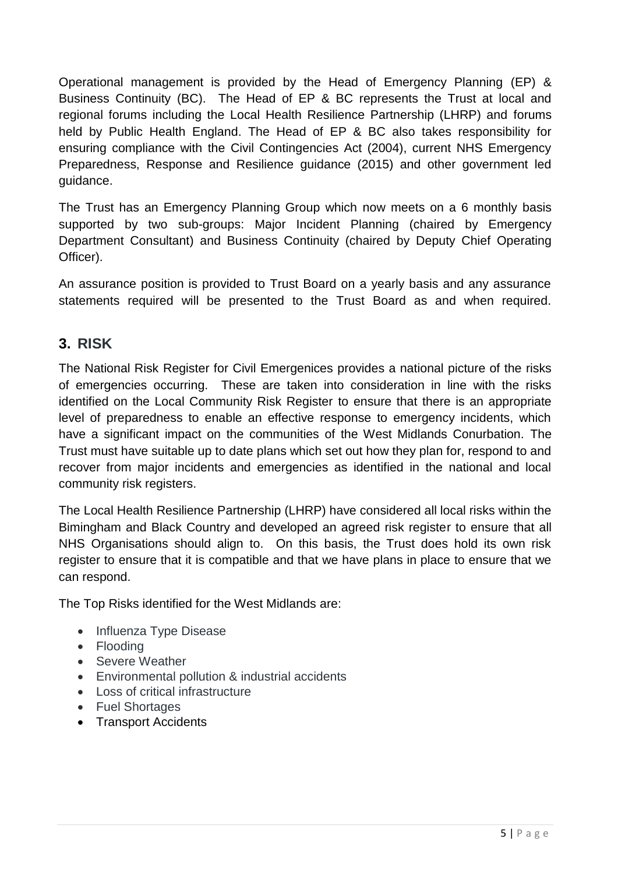Operational management is provided by the Head of Emergency Planning (EP) & Business Continuity (BC). The Head of EP & BC represents the Trust at local and regional forums including the Local Health Resilience Partnership (LHRP) and forums held by Public Health England. The Head of EP & BC also takes responsibility for ensuring compliance with the Civil Contingencies Act (2004), current NHS Emergency Preparedness, Response and Resilience guidance (2015) and other government led guidance.

The Trust has an Emergency Planning Group which now meets on a 6 monthly basis supported by two sub-groups: Major Incident Planning (chaired by Emergency Department Consultant) and Business Continuity (chaired by Deputy Chief Operating Officer).

An assurance position is provided to Trust Board on a yearly basis and any assurance statements required will be presented to the Trust Board as and when required.

# **3. RISK**

The National Risk Register for Civil Emergenices provides a national picture of the risks of emergencies occurring. These are taken into consideration in line with the risks identified on the Local Community Risk Register to ensure that there is an appropriate level of preparedness to enable an effective response to emergency incidents, which have a significant impact on the communities of the West Midlands Conurbation. The Trust must have suitable up to date plans which set out how they plan for, respond to and recover from major incidents and emergencies as identified in the national and local community risk registers.

The Local Health Resilience Partnership (LHRP) have considered all local risks within the Bimingham and Black Country and developed an agreed risk register to ensure that all NHS Organisations should align to. On this basis, the Trust does hold its own risk register to ensure that it is compatible and that we have plans in place to ensure that we can respond.

The Top Risks identified for the West Midlands are:

- Influenza Type Disease
- Flooding
- Severe Weather
- Environmental pollution & industrial accidents
- Loss of critical infrastructure
- Fuel Shortages
- Transport Accidents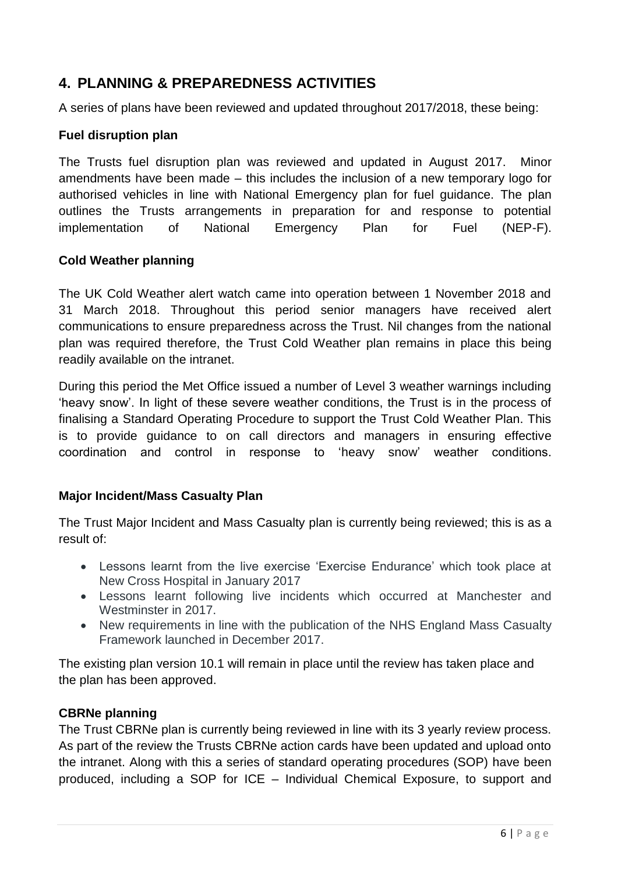# **4. PLANNING & PREPAREDNESS ACTIVITIES**

A series of plans have been reviewed and updated throughout 2017/2018, these being:

## **Fuel disruption plan**

The Trusts fuel disruption plan was reviewed and updated in August 2017. Minor amendments have been made – this includes the inclusion of a new temporary logo for authorised vehicles in line with National Emergency plan for fuel guidance. The plan outlines the Trusts arrangements in preparation for and response to potential implementation of National Emergency Plan for Fuel (NEP-F).

### **Cold Weather planning**

The UK Cold Weather alert watch came into operation between 1 November 2018 and 31 March 2018. Throughout this period senior managers have received alert communications to ensure preparedness across the Trust. Nil changes from the national plan was required therefore, the Trust Cold Weather plan remains in place this being readily available on the intranet.

During this period the Met Office issued a number of Level 3 weather warnings including 'heavy snow'. In light of these severe weather conditions, the Trust is in the process of finalising a Standard Operating Procedure to support the Trust Cold Weather Plan. This is to provide guidance to on call directors and managers in ensuring effective coordination and control in response to 'heavy snow' weather conditions.

# **Major Incident/Mass Casualty Plan**

The Trust Major Incident and Mass Casualty plan is currently being reviewed; this is as a result of:

- Lessons learnt from the live exercise 'Exercise Endurance' which took place at New Cross Hospital in January 2017
- Lessons learnt following live incidents which occurred at Manchester and Westminster in 2017.
- New requirements in line with the publication of the NHS England Mass Casualty Framework launched in December 2017.

The existing plan version 10.1 will remain in place until the review has taken place and the plan has been approved.

### **CBRNe planning**

The Trust CBRNe plan is currently being reviewed in line with its 3 yearly review process. As part of the review the Trusts CBRNe action cards have been updated and upload onto the intranet. Along with this a series of standard operating procedures (SOP) have been produced, including a SOP for ICE – Individual Chemical Exposure, to support and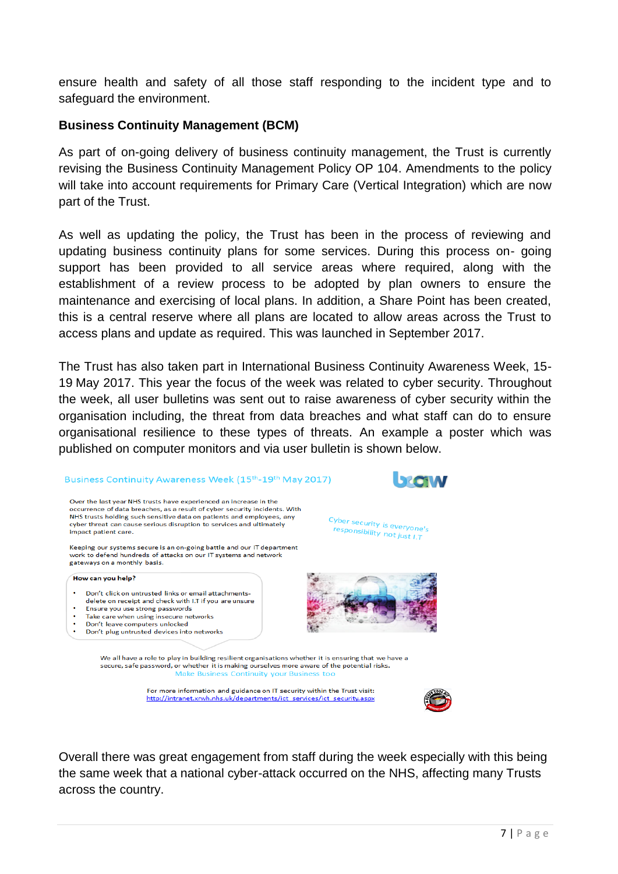ensure health and safety of all those staff responding to the incident type and to safeguard the environment.

# **Business Continuity Management (BCM)**

As part of on-going delivery of business continuity management, the Trust is currently revising the Business Continuity Management Policy OP 104. Amendments to the policy will take into account requirements for Primary Care (Vertical Integration) which are now part of the Trust.

As well as updating the policy, the Trust has been in the process of reviewing and updating business continuity plans for some services. During this process on- going support has been provided to all service areas where required, along with the establishment of a review process to be adopted by plan owners to ensure the maintenance and exercising of local plans. In addition, a Share Point has been created, this is a central reserve where all plans are located to allow areas across the Trust to access plans and update as required. This was launched in September 2017.

The Trust has also taken part in International Business Continuity Awareness Week, 15- 19 May 2017. This year the focus of the week was related to cyber security. Throughout the week, all user bulletins was sent out to raise awareness of cyber security within the organisation including, the threat from data breaches and what staff can do to ensure organisational resilience to these types of threats. An example a poster which was published on computer monitors and via user bulletin is shown below.

#### Business Continuity Awareness Week (15<sup>th</sup>-19<sup>th</sup> May 2017)



Keeping our systems secure is an on-going battle and our IT department work to defend hundreds of attacks on our IT systems and network gateways on a monthly basis.

#### How can you help?

- Don't click on untrusted links or email attachments-
- delete on receipt and check with I.T if you are unsure
- Ensure you use strong passwords Take care when using insecure networks
- Don't leave computers unlocked
- Don't plug untrusted devices into networks



We all have a role to play in building resilient organisations whether it is ensuring that we have a secure, safe password, or whether it is making ourselves more aware of the potential risks. Make Business Continuity your Business too

> For more information and guidance on IT security within the Trust visit: http://intranet.xrwh.nhs.uk/departments/ict\_services/ict\_security.aspx



Overall there was great engagement from staff during the week especially with this being the same week that a national cyber-attack occurred on the NHS, affecting many Trusts across the country.



Cyber security is everyone's<br>responsibility new yone's

-your security is everyone<br>responsibility not just I.T

7 | P a g e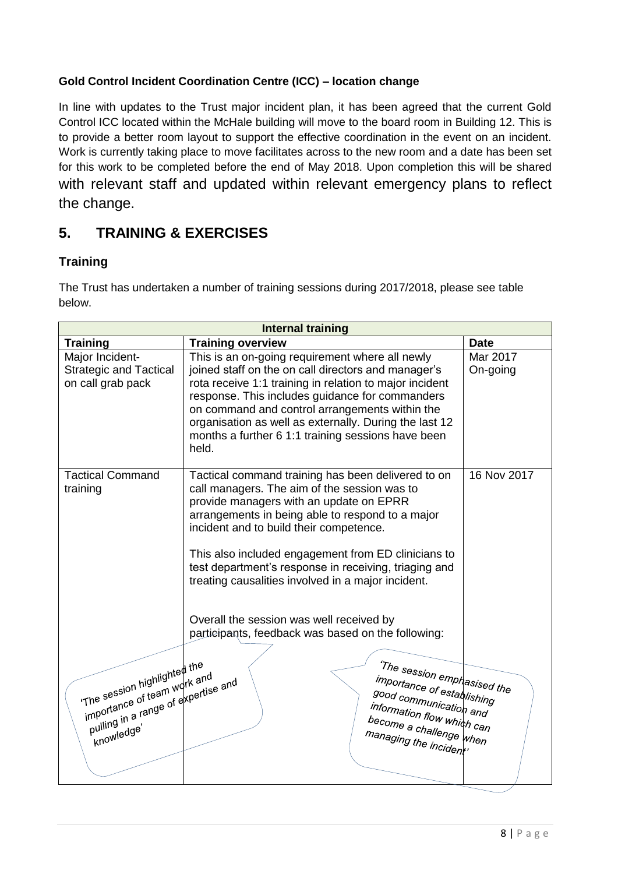# **Gold Control Incident Coordination Centre (ICC) – location change**

In line with updates to the Trust major incident plan, it has been agreed that the current Gold Control ICC located within the McHale building will move to the board room in Building 12. This is to provide a better room layout to support the effective coordination in the event on an incident. Work is currently taking place to move facilitates across to the new room and a date has been set for this work to be completed before the end of May 2018. Upon completion this will be shared with relevant staff and updated within relevant emergency plans to reflect the change.

# **5. TRAINING & EXERCISES**

## **Training**

The Trust has undertaken a number of training sessions during 2017/2018, please see table below.

| <b>Internal training</b>                                                                                                                 |                                                                                                                                                                                                                                                                                                                                                                                                                                                                                                                                                                                                                                           |                      |  |
|------------------------------------------------------------------------------------------------------------------------------------------|-------------------------------------------------------------------------------------------------------------------------------------------------------------------------------------------------------------------------------------------------------------------------------------------------------------------------------------------------------------------------------------------------------------------------------------------------------------------------------------------------------------------------------------------------------------------------------------------------------------------------------------------|----------------------|--|
| <b>Training</b>                                                                                                                          | <b>Training overview</b>                                                                                                                                                                                                                                                                                                                                                                                                                                                                                                                                                                                                                  | <b>Date</b>          |  |
| Major Incident-<br><b>Strategic and Tactical</b><br>on call grab pack                                                                    | This is an on-going requirement where all newly<br>joined staff on the on call directors and manager's<br>rota receive 1:1 training in relation to major incident<br>response. This includes guidance for commanders<br>on command and control arrangements within the<br>organisation as well as externally. During the last 12<br>months a further 6 1:1 training sessions have been<br>held.                                                                                                                                                                                                                                           | Mar 2017<br>On-going |  |
| <b>Tactical Command</b><br>training<br>The session highlighted the<br>importance of team work and<br>pulling in a range of expertise and | Tactical command training has been delivered to on<br>call managers. The aim of the session was to<br>provide managers with an update on EPRR<br>arrangements in being able to respond to a major<br>incident and to build their competence.<br>This also included engagement from ED clinicians to<br>test department's response in receiving, triaging and<br>treating causalities involved in a major incident.<br>Overall the session was well received by<br>participants, feedback was based on the following:<br>'The session emphasised the<br>importance of establishing<br>good communication and<br>information flow which can | 16 Nov 2017          |  |
| knowledge'                                                                                                                               | become a challenge $\vert_{\!u\!h\!e\!n}$<br>managing the incident'                                                                                                                                                                                                                                                                                                                                                                                                                                                                                                                                                                       |                      |  |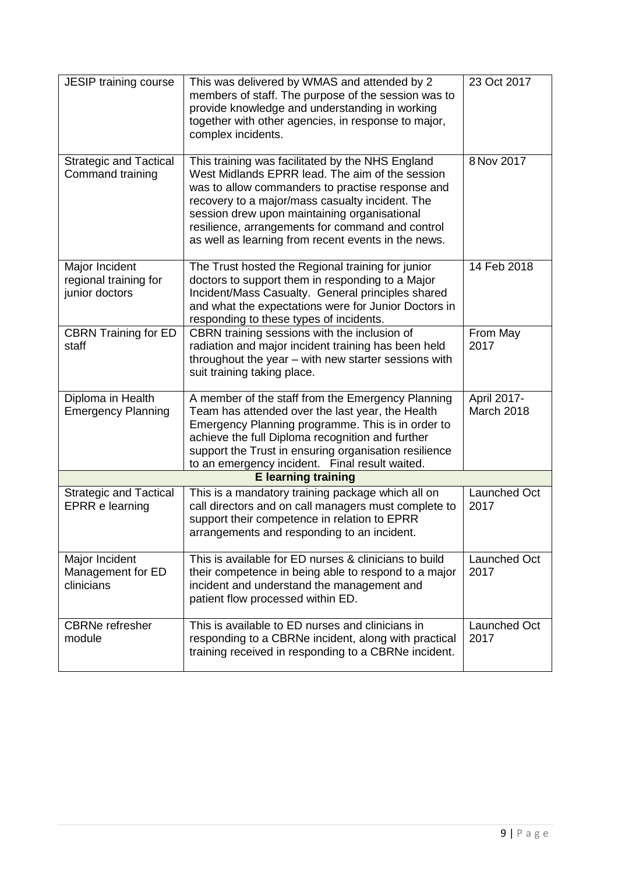| JESIP training course                                     | This was delivered by WMAS and attended by 2<br>members of staff. The purpose of the session was to<br>provide knowledge and understanding in working<br>together with other agencies, in response to major,<br>complex incidents.                                                                                                                                    | 23 Oct 2017               |
|-----------------------------------------------------------|-----------------------------------------------------------------------------------------------------------------------------------------------------------------------------------------------------------------------------------------------------------------------------------------------------------------------------------------------------------------------|---------------------------|
| <b>Strategic and Tactical</b><br>Command training         | This training was facilitated by the NHS England<br>West Midlands EPRR lead. The aim of the session<br>was to allow commanders to practise response and<br>recovery to a major/mass casualty incident. The<br>session drew upon maintaining organisational<br>resilience, arrangements for command and control<br>as well as learning from recent events in the news. | 8 Nov 2017                |
| Major Incident<br>regional training for<br>junior doctors | The Trust hosted the Regional training for junior<br>doctors to support them in responding to a Major<br>Incident/Mass Casualty. General principles shared<br>and what the expectations were for Junior Doctors in<br>responding to these types of incidents.                                                                                                         | 14 Feb 2018               |
| <b>CBRN Training for ED</b><br>staff                      | CBRN training sessions with the inclusion of<br>radiation and major incident training has been held<br>throughout the year - with new starter sessions with<br>suit training taking place.                                                                                                                                                                            | From May<br>2017          |
| Diploma in Health<br><b>Emergency Planning</b>            | A member of the staff from the Emergency Planning<br>Team has attended over the last year, the Health<br>Emergency Planning programme. This is in order to<br>achieve the full Diploma recognition and further<br>support the Trust in ensuring organisation resilience<br>to an emergency incident. Final result waited.                                             | April 2017-<br>March 2018 |
|                                                           | <b>E</b> learning training                                                                                                                                                                                                                                                                                                                                            |                           |
| <b>Strategic and Tactical</b><br><b>EPRR</b> e learning   | This is a mandatory training package which all on<br>call directors and on call managers must complete to<br>support their competence in relation to EPRR<br>arrangements and responding to an incident.                                                                                                                                                              | Launched Oct<br>2017      |
| Major Incident<br>Management for ED<br>clinicians         | This is available for ED nurses & clinicians to build<br>their competence in being able to respond to a major<br>incident and understand the management and<br>patient flow processed within ED.                                                                                                                                                                      | Launched Oct<br>2017      |
| <b>CBRNe</b> refresher<br>module                          | This is available to ED nurses and clinicians in<br>responding to a CBRNe incident, along with practical<br>training received in responding to a CBRNe incident.                                                                                                                                                                                                      | Launched Oct<br>2017      |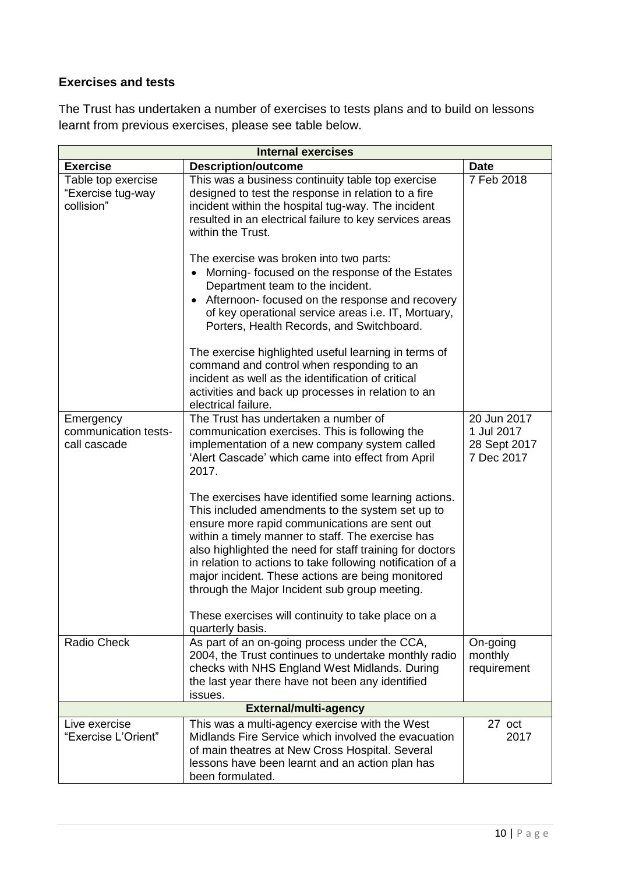# **Exercises and tests**

The Trust has undertaken a number of exercises to tests plans and to build on lessons learnt from previous exercises, please see table below.

| <b>Internal exercises</b>                             |                                                                                                                                                                                                                                                                                                                                                                                                                                                                                                                                                                                                                                                                                                                                                                                             |                                                         |  |
|-------------------------------------------------------|---------------------------------------------------------------------------------------------------------------------------------------------------------------------------------------------------------------------------------------------------------------------------------------------------------------------------------------------------------------------------------------------------------------------------------------------------------------------------------------------------------------------------------------------------------------------------------------------------------------------------------------------------------------------------------------------------------------------------------------------------------------------------------------------|---------------------------------------------------------|--|
| <b>Exercise</b>                                       | <b>Description/outcome</b>                                                                                                                                                                                                                                                                                                                                                                                                                                                                                                                                                                                                                                                                                                                                                                  | <b>Date</b>                                             |  |
| Table top exercise<br>"Exercise tug-way<br>collision" | This was a business continuity table top exercise<br>designed to test the response in relation to a fire<br>incident within the hospital tug-way. The incident<br>resulted in an electrical failure to key services areas<br>within the Trust.<br>The exercise was broken into two parts:<br>Morning-focused on the response of the Estates<br>$\bullet$<br>Department team to the incident.<br>Afternoon- focused on the response and recovery<br>of key operational service areas i.e. IT, Mortuary,<br>Porters, Health Records, and Switchboard.<br>The exercise highlighted useful learning in terms of<br>command and control when responding to an<br>incident as well as the identification of critical<br>activities and back up processes in relation to an<br>electrical failure. | 7 Feb 2018                                              |  |
| Emergency<br>communication tests-<br>call cascade     | The Trust has undertaken a number of<br>communication exercises. This is following the<br>implementation of a new company system called<br>'Alert Cascade' which came into effect from April<br>2017.<br>The exercises have identified some learning actions.<br>This included amendments to the system set up to<br>ensure more rapid communications are sent out<br>within a timely manner to staff. The exercise has<br>also highlighted the need for staff training for doctors<br>in relation to actions to take following notification of a<br>major incident. These actions are being monitored<br>through the Major Incident sub group meeting.<br>These exercises will continuity to take place on a<br>quarterly basis.                                                           | 20 Jun 2017<br>1 Jul 2017<br>28 Sept 2017<br>7 Dec 2017 |  |
| Radio Check                                           | As part of an on-going process under the CCA,<br>2004, the Trust continues to undertake monthly radio<br>checks with NHS England West Midlands. During<br>the last year there have not been any identified<br>issues.                                                                                                                                                                                                                                                                                                                                                                                                                                                                                                                                                                       | On-going<br>monthly<br>requirement                      |  |
| <b>External/multi-agency</b>                          |                                                                                                                                                                                                                                                                                                                                                                                                                                                                                                                                                                                                                                                                                                                                                                                             |                                                         |  |
| Live exercise<br>"Exercise L'Orient"                  | This was a multi-agency exercise with the West<br>Midlands Fire Service which involved the evacuation<br>of main theatres at New Cross Hospital. Several<br>lessons have been learnt and an action plan has<br>been formulated.                                                                                                                                                                                                                                                                                                                                                                                                                                                                                                                                                             | 27 oct<br>2017                                          |  |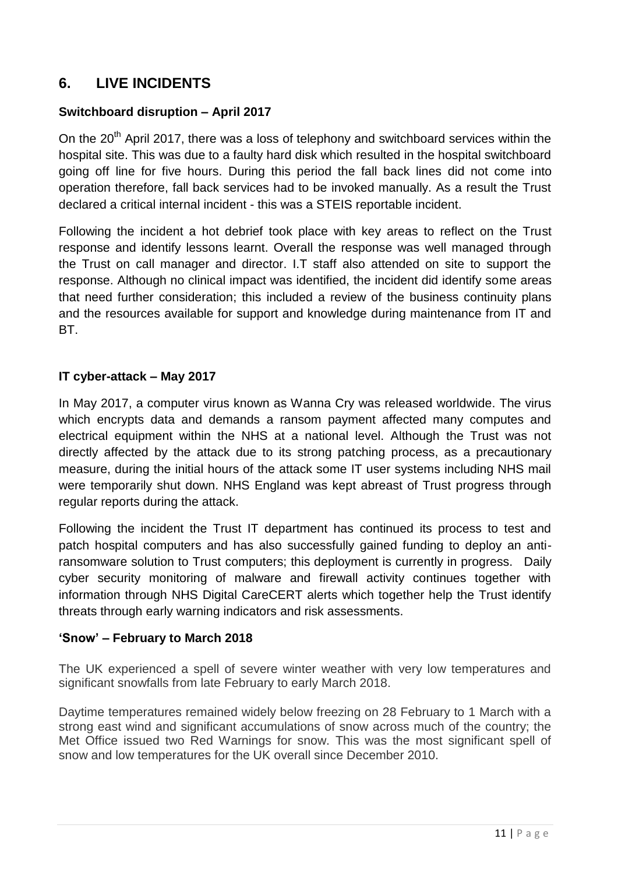# **6. LIVE INCIDENTS**

# **Switchboard disruption – April 2017**

On the  $20<sup>th</sup>$  April 2017, there was a loss of telephony and switchboard services within the hospital site. This was due to a faulty hard disk which resulted in the hospital switchboard going off line for five hours. During this period the fall back lines did not come into operation therefore, fall back services had to be invoked manually. As a result the Trust declared a critical internal incident - this was a STEIS reportable incident.

Following the incident a hot debrief took place with key areas to reflect on the Trust response and identify lessons learnt. Overall the response was well managed through the Trust on call manager and director. I.T staff also attended on site to support the response. Although no clinical impact was identified, the incident did identify some areas that need further consideration; this included a review of the business continuity plans and the resources available for support and knowledge during maintenance from IT and BT.

## **IT cyber-attack – May 2017**

In May 2017, a computer virus known as Wanna Cry was released worldwide. The virus which encrypts data and demands a ransom payment affected many computes and electrical equipment within the NHS at a national level. Although the Trust was not directly affected by the attack due to its strong patching process, as a precautionary measure, during the initial hours of the attack some IT user systems including NHS mail were temporarily shut down. NHS England was kept abreast of Trust progress through regular reports during the attack.

Following the incident the Trust IT department has continued its process to test and patch hospital computers and has also successfully gained funding to deploy an antiransomware solution to Trust computers; this deployment is currently in progress. Daily cyber security monitoring of malware and firewall activity continues together with information through NHS Digital CareCERT alerts which together help the Trust identify threats through early warning indicators and risk assessments.

### **'Snow' – February to March 2018**

The UK experienced a spell of severe winter weather with very low temperatures and significant snowfalls from late February to early March 2018.

Daytime temperatures remained widely below freezing on 28 February to 1 March with a strong east wind and significant accumulations of snow across much of the country; the Met Office issued two Red Warnings for snow. This was the most significant spell of snow and low temperatures for the UK overall since December 2010.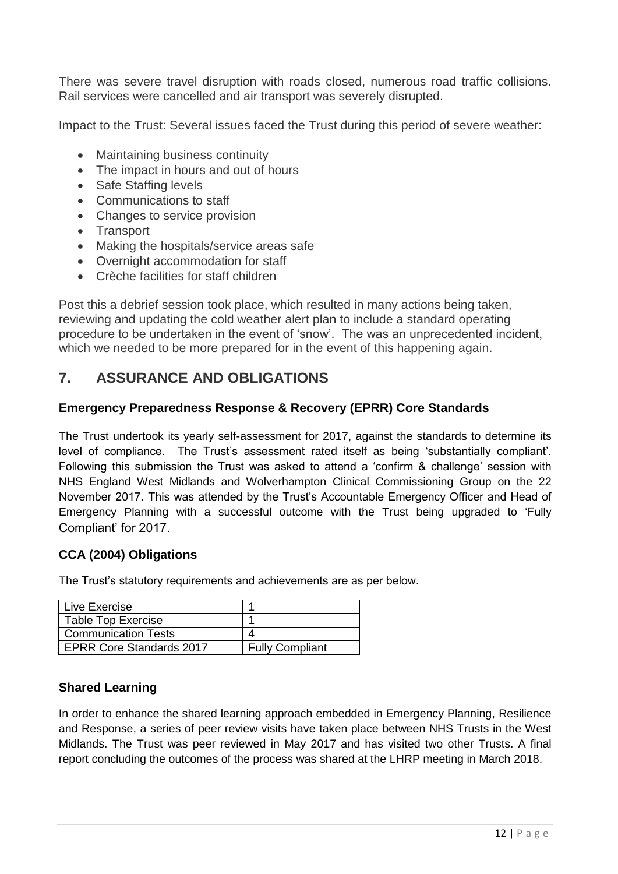There was severe travel disruption with roads closed, numerous road traffic collisions. Rail services were cancelled and air transport was severely disrupted.

Impact to the Trust: Several issues faced the Trust during this period of severe weather:

- Maintaining business continuity
- The impact in hours and out of hours
- Safe Staffing levels
- Communications to staff
- Changes to service provision
- Transport
- Making the hospitals/service areas safe
- Overnight accommodation for staff
- Crèche facilities for staff children

Post this a debrief session took place, which resulted in many actions being taken, reviewing and updating the cold weather alert plan to include a standard operating procedure to be undertaken in the event of 'snow'. The was an unprecedented incident, which we needed to be more prepared for in the event of this happening again.

# **7. ASSURANCE AND OBLIGATIONS**

#### **Emergency Preparedness Response & Recovery (EPRR) Core Standards**

The Trust undertook its yearly self-assessment for 2017, against the standards to determine its level of compliance. The Trust's assessment rated itself as being 'substantially compliant'. Following this submission the Trust was asked to attend a 'confirm & challenge' session with NHS England West Midlands and Wolverhampton Clinical Commissioning Group on the 22 November 2017. This was attended by the Trust's Accountable Emergency Officer and Head of Emergency Planning with a successful outcome with the Trust being upgraded to 'Fully Compliant' for 2017.

#### **CCA (2004) Obligations**

The Trust's statutory requirements and achievements are as per below.

| Live Exercise              |                        |
|----------------------------|------------------------|
| <b>Table Top Exercise</b>  |                        |
| <b>Communication Tests</b> |                        |
| EPRR Core Standards 2017   | <b>Fully Compliant</b> |

### **Shared Learning**

In order to enhance the shared learning approach embedded in Emergency Planning, Resilience and Response, a series of peer review visits have taken place between NHS Trusts in the West Midlands. The Trust was peer reviewed in May 2017 and has visited two other Trusts. A final report concluding the outcomes of the process was shared at the LHRP meeting in March 2018.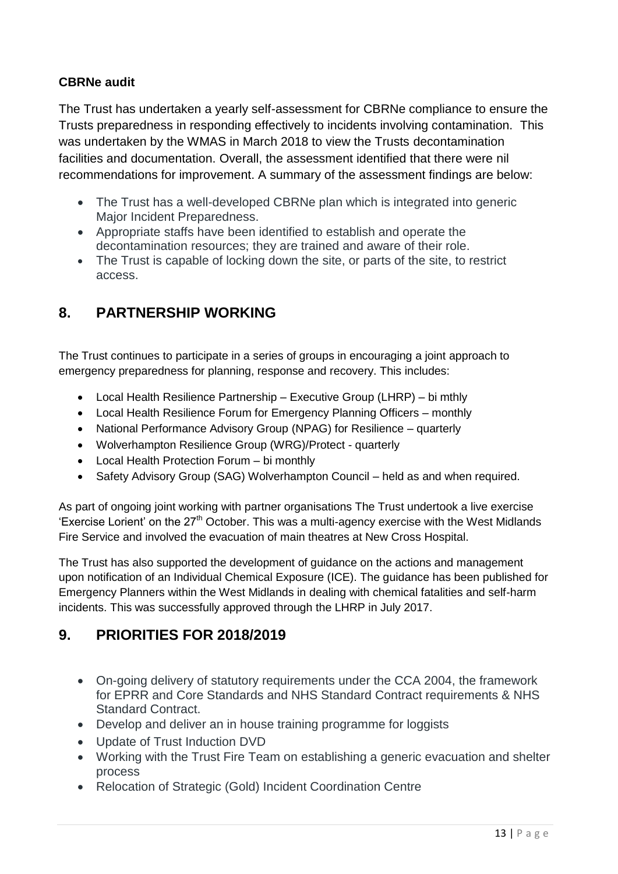# **CBRNe audit**

The Trust has undertaken a yearly self-assessment for CBRNe compliance to ensure the Trusts preparedness in responding effectively to incidents involving contamination. This was undertaken by the WMAS in March 2018 to view the Trusts decontamination facilities and documentation. Overall, the assessment identified that there were nil recommendations for improvement. A summary of the assessment findings are below:

- The Trust has a well-developed CBRNe plan which is integrated into generic Major Incident Preparedness.
- Appropriate staffs have been identified to establish and operate the decontamination resources; they are trained and aware of their role.
- The Trust is capable of locking down the site, or parts of the site, to restrict access.

# **8. PARTNERSHIP WORKING**

The Trust continues to participate in a series of groups in encouraging a joint approach to emergency preparedness for planning, response and recovery. This includes:

- Local Health Resilience Partnership Executive Group (LHRP) bi mthly
- Local Health Resilience Forum for Emergency Planning Officers monthly
- National Performance Advisory Group (NPAG) for Resilience quarterly
- Wolverhampton Resilience Group (WRG)/Protect quarterly
- Local Health Protection Forum bi monthly
- Safety Advisory Group (SAG) Wolverhampton Council held as and when required.

As part of ongoing joint working with partner organisations The Trust undertook a live exercise 'Exercise Lorient' on the  $27<sup>th</sup>$  October. This was a multi-agency exercise with the West Midlands Fire Service and involved the evacuation of main theatres at New Cross Hospital.

The Trust has also supported the development of guidance on the actions and management upon notification of an Individual Chemical Exposure (ICE). The guidance has been published for Emergency Planners within the West Midlands in dealing with chemical fatalities and self-harm incidents. This was successfully approved through the LHRP in July 2017.

# **9. PRIORITIES FOR 2018/2019**

- On-going delivery of statutory requirements under the CCA 2004, the framework for EPRR and Core Standards and NHS Standard Contract requirements & NHS Standard Contract.
- Develop and deliver an in house training programme for loggists
- Update of Trust Induction DVD
- Working with the Trust Fire Team on establishing a generic evacuation and shelter process
- Relocation of Strategic (Gold) Incident Coordination Centre